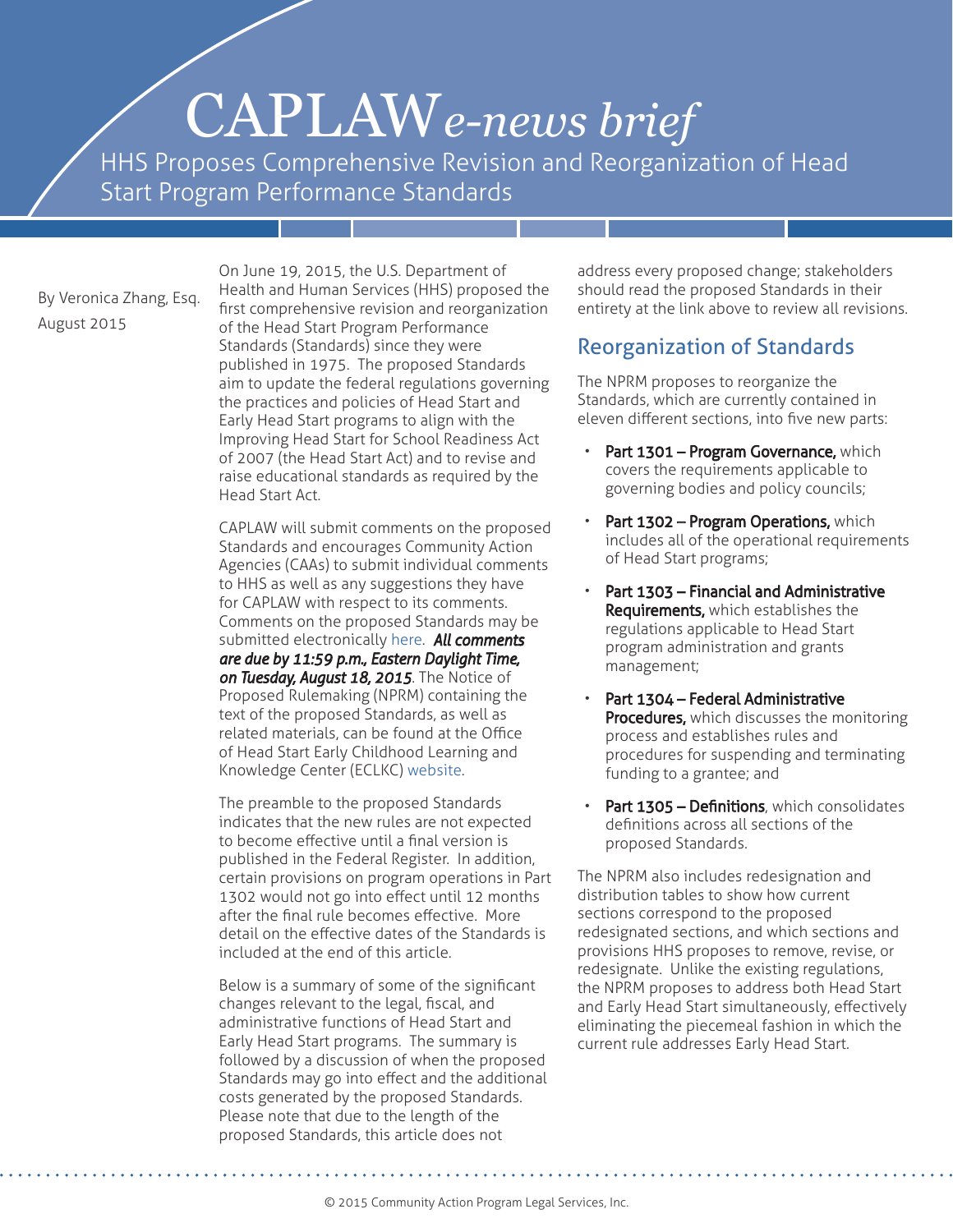# CAPLAW*e-news brief*

HHS Proposes Comprehensive Revision and Reorganization of Head Start Program Performance Standards

By Veronica Zhang, Esq. August 2015

On June 19, 2015, the U.S. Department of Health and Human Services (HHS) proposed the first comprehensive revision and reorganization of the Head Start Program Performance Standards (Standards) since they were published in 1975. The proposed Standards aim to update the federal regulations governing the practices and policies of Head Start and Early Head Start programs to align with the Improving Head Start for School Readiness Act of 2007 (the Head Start Act) and to revise and raise educational standards as required by the Head Start Act.

CAPLAW will submit comments on the proposed Standards and encourages Community Action Agencies (CAAs) to submit individual comments to HHS as well as any suggestions they have for CAPLAW with respect to its comments. Comments on the proposed Standards may be submitted electronically [here.](http://www.regulations.gov/#!documentDetail;D=ACF_FRDOC_0001-0057) *All comments are due by 11:59 p.m., Eastern Daylight Time, on Tuesday, August 18, 2015*. The Notice of Proposed Rulemaking (NPRM) containing the text of the proposed Standards, as well as related materials, can be found at the Office of Head Start Early Childhood Learning and Knowledge Center (ECLKC) [website.](http://eclkc.ohs.acf.hhs.gov/hslc/standards/pi/2015/resour_pri_001_061615.html) 

The preamble to the proposed Standards indicates that the new rules are not expected to become effective until a final version is published in the Federal Register. In addition, certain provisions on program operations in Part 1302 would not go into effect until 12 months after the final rule becomes effective. More detail on the effective dates of the Standards is included at the end of this article.

Below is a summary of some of the significant changes relevant to the legal, fiscal, and administrative functions of Head Start and Early Head Start programs. The summary is followed by a discussion of when the proposed Standards may go into effect and the additional costs generated by the proposed Standards. Please note that due to the length of the proposed Standards, this article does not

address every proposed change; stakeholders should read the proposed Standards in their entirety at the link above to review all revisions.

## Reorganization of Standards

The NPRM proposes to reorganize the Standards, which are currently contained in eleven different sections, into five new parts:

- Part 1301 Program Governance, which covers the requirements applicable to governing bodies and policy councils;
- Part 1302 Program Operations, which includes all of the operational requirements of Head Start programs;
- Part 1303 Financial and Administrative **Requirements, which establishes the** regulations applicable to Head Start program administration and grants management;
- Part 1304 Federal Administrative **Procedures,** which discusses the monitoring process and establishes rules and procedures for suspending and terminating funding to a grantee; and
- Part 1305 Definitions, which consolidates definitions across all sections of the proposed Standards.

The NPRM also includes redesignation and distribution tables to show how current sections correspond to the proposed redesignated sections, and which sections and provisions HHS proposes to remove, revise, or redesignate. Unlike the existing regulations, the NPRM proposes to address both Head Start and Early Head Start simultaneously, effectively eliminating the piecemeal fashion in which the current rule addresses Early Head Start.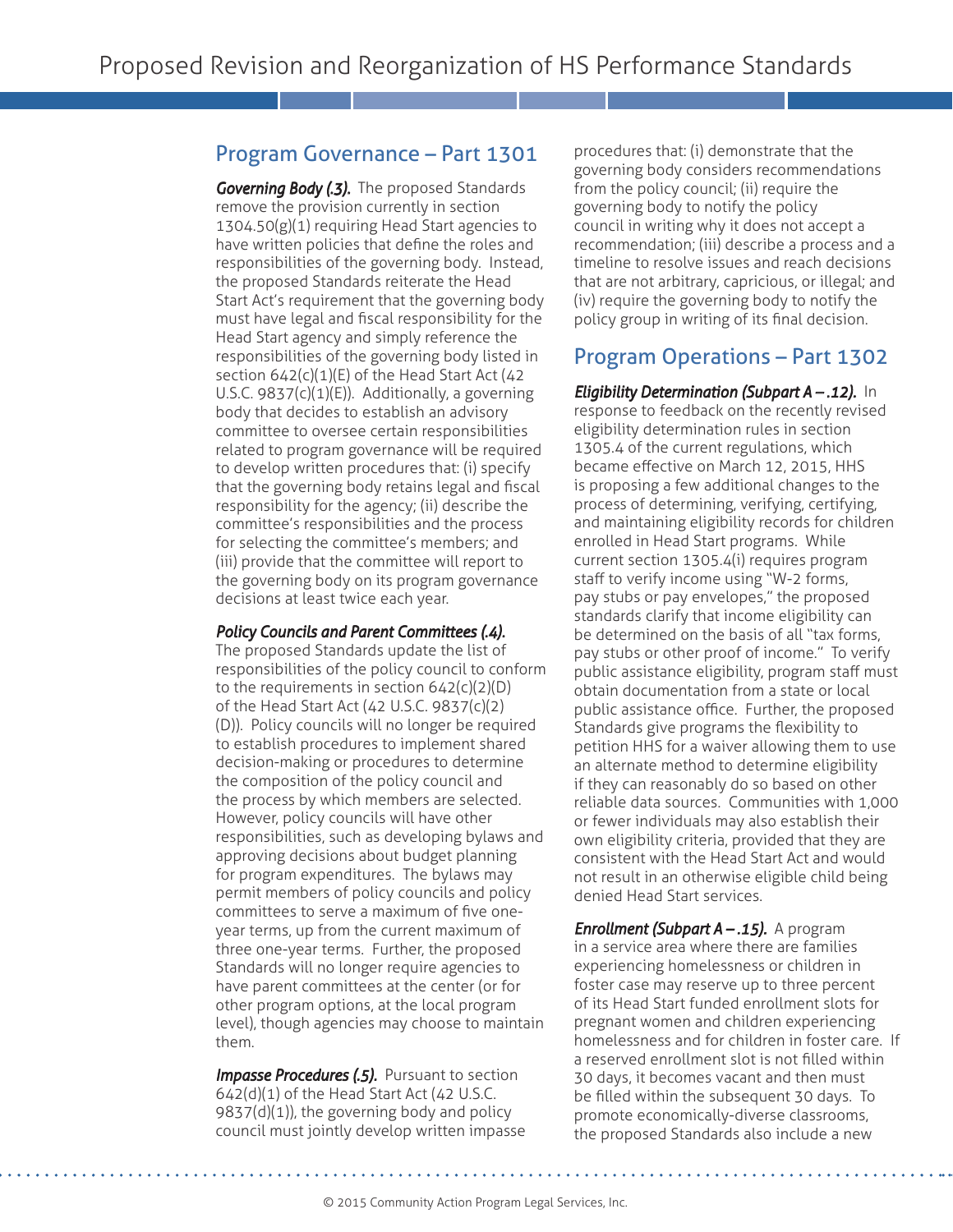## Program Governance – Part 1301

*Governing Body (.3).* The proposed Standards remove the provision currently in section 1304.50(g)(1) requiring Head Start agencies to have written policies that define the roles and responsibilities of the governing body. Instead, the proposed Standards reiterate the Head Start Act's requirement that the governing body must have legal and fiscal responsibility for the Head Start agency and simply reference the responsibilities of the governing body listed in section  $642(c)(1)(E)$  of the Head Start Act (42 U.S.C. 9837(c)(1)(E)). Additionally, a governing body that decides to establish an advisory committee to oversee certain responsibilities related to program governance will be required to develop written procedures that: (i) specify that the governing body retains legal and fiscal responsibility for the agency; (ii) describe the committee's responsibilities and the process for selecting the committee's members; and (iii) provide that the committee will report to the governing body on its program governance decisions at least twice each year.

## *Policy Councils and Parent Committees (.4).*

The proposed Standards update the list of responsibilities of the policy council to conform to the requirements in section 642(c)(2)(D) of the Head Start Act (42 U.S.C. 9837(c)(2) (D)). Policy councils will no longer be required to establish procedures to implement shared decision-making or procedures to determine the composition of the policy council and the process by which members are selected. However, policy councils will have other responsibilities, such as developing bylaws and approving decisions about budget planning for program expenditures. The bylaws may permit members of policy councils and policy committees to serve a maximum of five oneyear terms, up from the current maximum of three one-year terms. Further, the proposed Standards will no longer require agencies to have parent committees at the center (or for other program options, at the local program level), though agencies may choose to maintain them.

**Impasse Procedures (.5).** Pursuant to section 642(d)(1) of the Head Start Act (42 U.S.C. 9837(d)(1)), the governing body and policy council must jointly develop written impasse procedures that: (i) demonstrate that the governing body considers recommendations from the policy council; (ii) require the governing body to notify the policy council in writing why it does not accept a recommendation; (iii) describe a process and a timeline to resolve issues and reach decisions that are not arbitrary, capricious, or illegal; and (iv) require the governing body to notify the policy group in writing of its final decision.

## Program Operations – Part 1302

## *Eligibility Determination (Subpart A – .12).* In response to feedback on the recently revised eligibility determination rules in section 1305.4 of the current regulations, which became effective on March 12, 2015, HHS is proposing a few additional changes to the process of determining, verifying, certifying, and maintaining eligibility records for children enrolled in Head Start programs. While current section 1305.4(i) requires program staff to verify income using "W-2 forms, pay stubs or pay envelopes," the proposed standards clarify that income eligibility can be determined on the basis of all "tax forms, pay stubs or other proof of income." To verify public assistance eligibility, program staff must obtain documentation from a state or local public assistance office. Further, the proposed Standards give programs the flexibility to petition HHS for a waiver allowing them to use an alternate method to determine eligibility if they can reasonably do so based on other reliable data sources. Communities with 1,000 or fewer individuals may also establish their own eligibility criteria, provided that they are consistent with the Head Start Act and would not result in an otherwise eligible child being denied Head Start services. *Enrollment (Subpart A – .15).* A program

in a service area where there are families experiencing homelessness or children in foster case may reserve up to three percent of its Head Start funded enrollment slots for pregnant women and children experiencing homelessness and for children in foster care. If a reserved enrollment slot is not filled within 30 days, it becomes vacant and then must be filled within the subsequent 30 days. To promote economically-diverse classrooms, the proposed Standards also include a new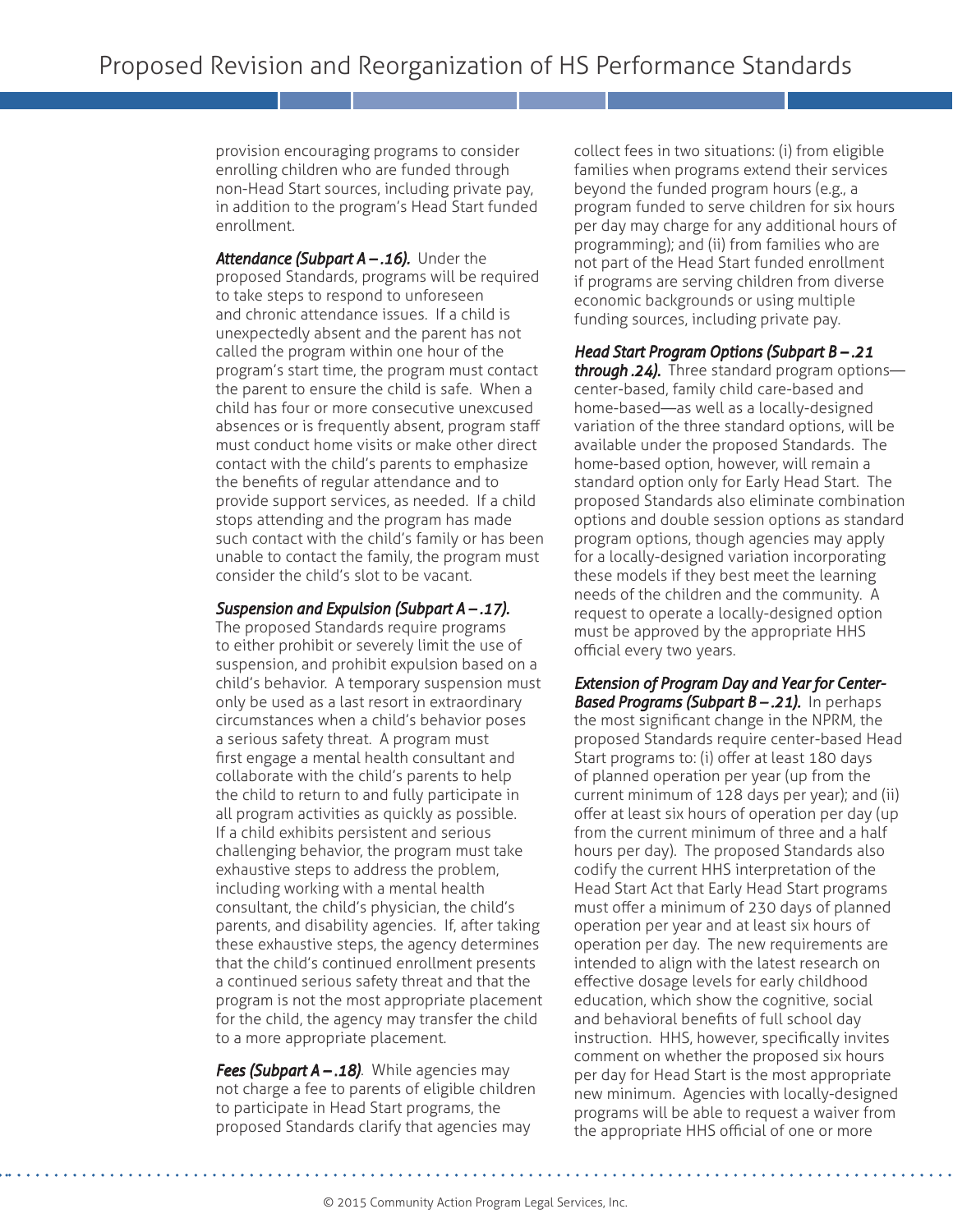provision encouraging programs to consider enrolling children who are funded through non-Head Start sources, including private pay, in addition to the program's Head Start funded enrollment.

*Attendance (Subpart A – .16).* Under the proposed Standards, programs will be required to take steps to respond to unforeseen and chronic attendance issues. If a child is unexpectedly absent and the parent has not called the program within one hour of the program's start time, the program must contact the parent to ensure the child is safe. When a child has four or more consecutive unexcused absences or is frequently absent, program staff must conduct home visits or make other direct contact with the child's parents to emphasize the benefits of regular attendance and to provide support services, as needed. If a child stops attending and the program has made such contact with the child's family or has been unable to contact the family, the program must consider the child's slot to be vacant.

#### *Suspension and Expulsion (Subpart A – .17).*

The proposed Standards require programs to either prohibit or severely limit the use of suspension, and prohibit expulsion based on a child's behavior. A temporary suspension must only be used as a last resort in extraordinary circumstances when a child's behavior poses a serious safety threat. A program must first engage a mental health consultant and collaborate with the child's parents to help the child to return to and fully participate in all program activities as quickly as possible. If a child exhibits persistent and serious challenging behavior, the program must take exhaustive steps to address the problem, including working with a mental health consultant, the child's physician, the child's parents, and disability agencies. If, after taking these exhaustive steps, the agency determines that the child's continued enrollment presents a continued serious safety threat and that the program is not the most appropriate placement for the child, the agency may transfer the child to a more appropriate placement.

*Fees (Subpart A – .18)*. While agencies may not charge a fee to parents of eligible children to participate in Head Start programs, the proposed Standards clarify that agencies may

collect fees in two situations: (i) from eligible families when programs extend their services beyond the funded program hours (e.g., a program funded to serve children for six hours per day may charge for any additional hours of programming); and (ii) from families who are not part of the Head Start funded enrollment if programs are serving children from diverse economic backgrounds or using multiple funding sources, including private pay.

## *Head Start Program Options (Subpart B – .21*

*through .24).* Three standard program options center-based, family child care-based and home-based—as well as a locally-designed variation of the three standard options, will be available under the proposed Standards. The home-based option, however, will remain a standard option only for Early Head Start. The proposed Standards also eliminate combination options and double session options as standard program options, though agencies may apply for a locally-designed variation incorporating these models if they best meet the learning needs of the children and the community. A request to operate a locally-designed option must be approved by the appropriate HHS official every two years.

*Extension of Program Day and Year for Center-Based Programs (Subpart B – .21).* In perhaps the most significant change in the NPRM, the proposed Standards require center-based Head Start programs to: (i) offer at least 180 days of planned operation per year (up from the current minimum of 128 days per year); and (ii) offer at least six hours of operation per day (up from the current minimum of three and a half hours per day). The proposed Standards also codify the current HHS interpretation of the Head Start Act that Early Head Start programs must offer a minimum of 230 days of planned operation per year and at least six hours of operation per day. The new requirements are intended to align with the latest research on effective dosage levels for early childhood education, which show the cognitive, social and behavioral benefits of full school day instruction. HHS, however, specifically invites comment on whether the proposed six hours per day for Head Start is the most appropriate new minimum. Agencies with locally-designed programs will be able to request a waiver from the appropriate HHS official of one or more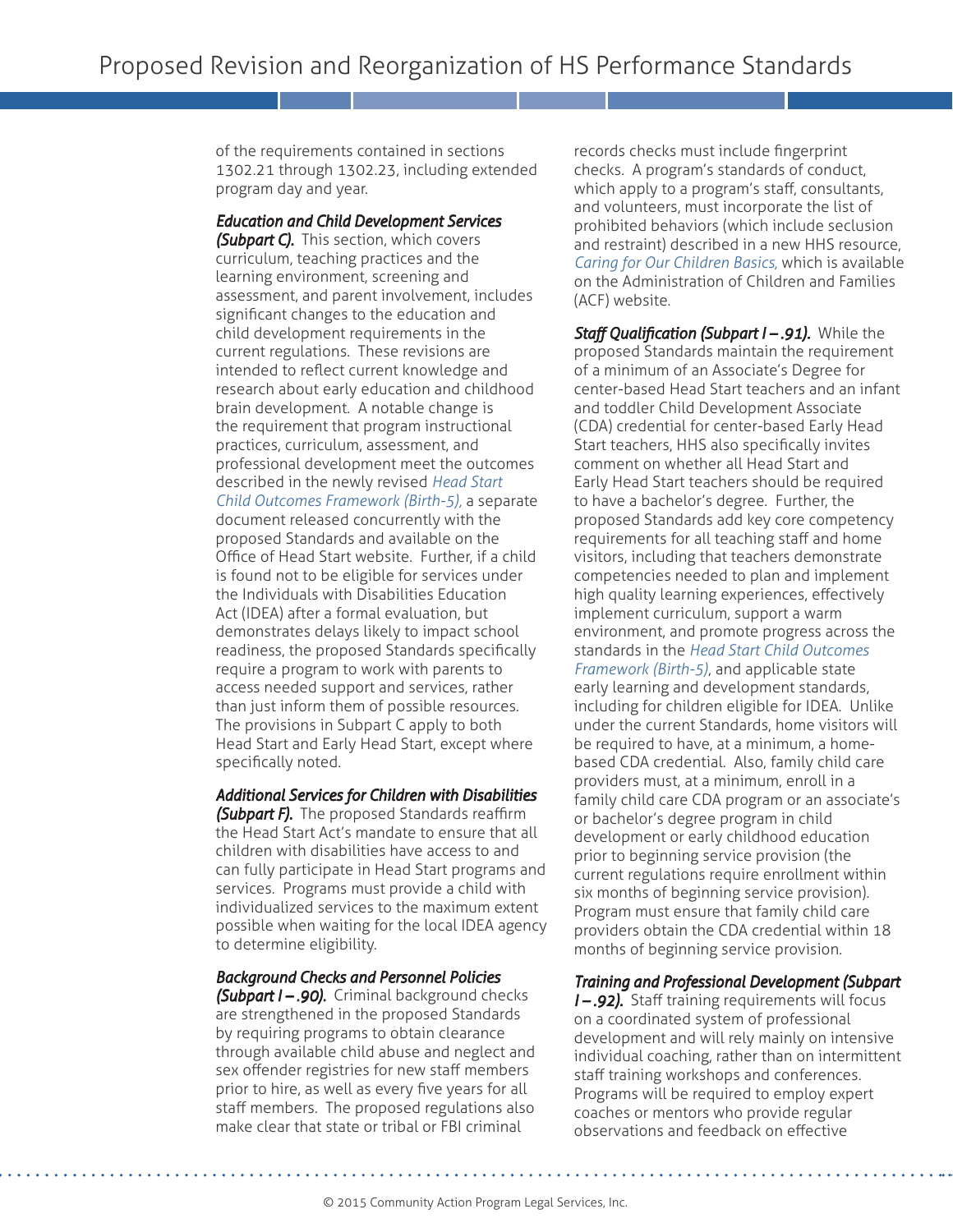of the requirements contained in sections 1302.21 through 1302.23, including extended program day and year.

#### *Education and Child Development Services*

*(Subpart C).* This section, which covers curriculum, teaching practices and the learning environment, screening and assessment, and parent involvement, includes significant changes to the education and child development requirements in the current regulations. These revisions are intended to reflect current knowledge and research about early education and childhood brain development. A notable change is the requirement that program instructional practices, curriculum, assessment, and professional development meet the outcomes described in the newly revised *[Head Start](http://eclkc.ohs.acf.hhs.gov/hslc/hs/sr/approach/cdelf/index.html)  [Child Outcomes Framework \(Birth-5\),](http://eclkc.ohs.acf.hhs.gov/hslc/hs/sr/approach/cdelf/index.html)* a separate document released concurrently with the proposed Standards and available on the Office of Head Start website. Further, if a child is found not to be eligible for services under the Individuals with Disabilities Education Act (IDEA) after a formal evaluation, but demonstrates delays likely to impact school readiness, the proposed Standards specifically require a program to work with parents to access needed support and services, rather than just inform them of possible resources. The provisions in Subpart C apply to both Head Start and Early Head Start, except where specifically noted.

## *Additional Services for Children with Disabilities*

*(Subpart F).* The proposed Standards reaffirm the Head Start Act's mandate to ensure that all children with disabilities have access to and can fully participate in Head Start programs and services. Programs must provide a child with individualized services to the maximum extent possible when waiting for the local IDEA agency to determine eligibility.

## *Background Checks and Personnel Policies*

*(Subpart I – .90).* Criminal background checks are strengthened in the proposed Standards by requiring programs to obtain clearance through available child abuse and neglect and sex offender registries for new staff members prior to hire, as well as every five years for all staff members. The proposed regulations also make clear that state or tribal or FBI criminal

records checks must include fingerprint checks. A program's standards of conduct, which apply to a program's staff, consultants, and volunteers, must incorporate the list of prohibited behaviors (which include seclusion and restraint) described in a new HHS resource, *[Caring for Our Children Basics,](http://www.acf.hhs.gov/programs/ecd/caring-for-our-children-basics)* which is available on the Administration of Children and Families (ACF) website.

*Staff Qualification (Subpart I – .91).* While the proposed Standards maintain the requirement of a minimum of an Associate's Degree for center-based Head Start teachers and an infant and toddler Child Development Associate (CDA) credential for center-based Early Head Start teachers, HHS also specifically invites comment on whether all Head Start and Early Head Start teachers should be required to have a bachelor's degree. Further, the proposed Standards add key core competency requirements for all teaching staff and home visitors, including that teachers demonstrate competencies needed to plan and implement high quality learning experiences, effectively implement curriculum, support a warm environment, and promote progress across the standards in the *[Head Start Child Outcomes](http://eclkc.ohs.acf.hhs.gov/hslc/hs/sr/approach/cdelf/index.html)  [Framework \(Birth-5\)](http://eclkc.ohs.acf.hhs.gov/hslc/hs/sr/approach/cdelf/index.html)*, and applicable state early learning and development standards, including for children eligible for IDEA. Unlike under the current Standards, home visitors will be required to have, at a minimum, a homebased CDA credential. Also, family child care providers must, at a minimum, enroll in a family child care CDA program or an associate's or bachelor's degree program in child development or early childhood education prior to beginning service provision (the current regulations require enrollment within six months of beginning service provision). Program must ensure that family child care providers obtain the CDA credential within 18 months of beginning service provision.

## *Training and Professional Development (Subpart*

*I – .92).* Staff training requirements will focus on a coordinated system of professional development and will rely mainly on intensive individual coaching, rather than on intermittent staff training workshops and conferences. Programs will be required to employ expert coaches or mentors who provide regular observations and feedback on effective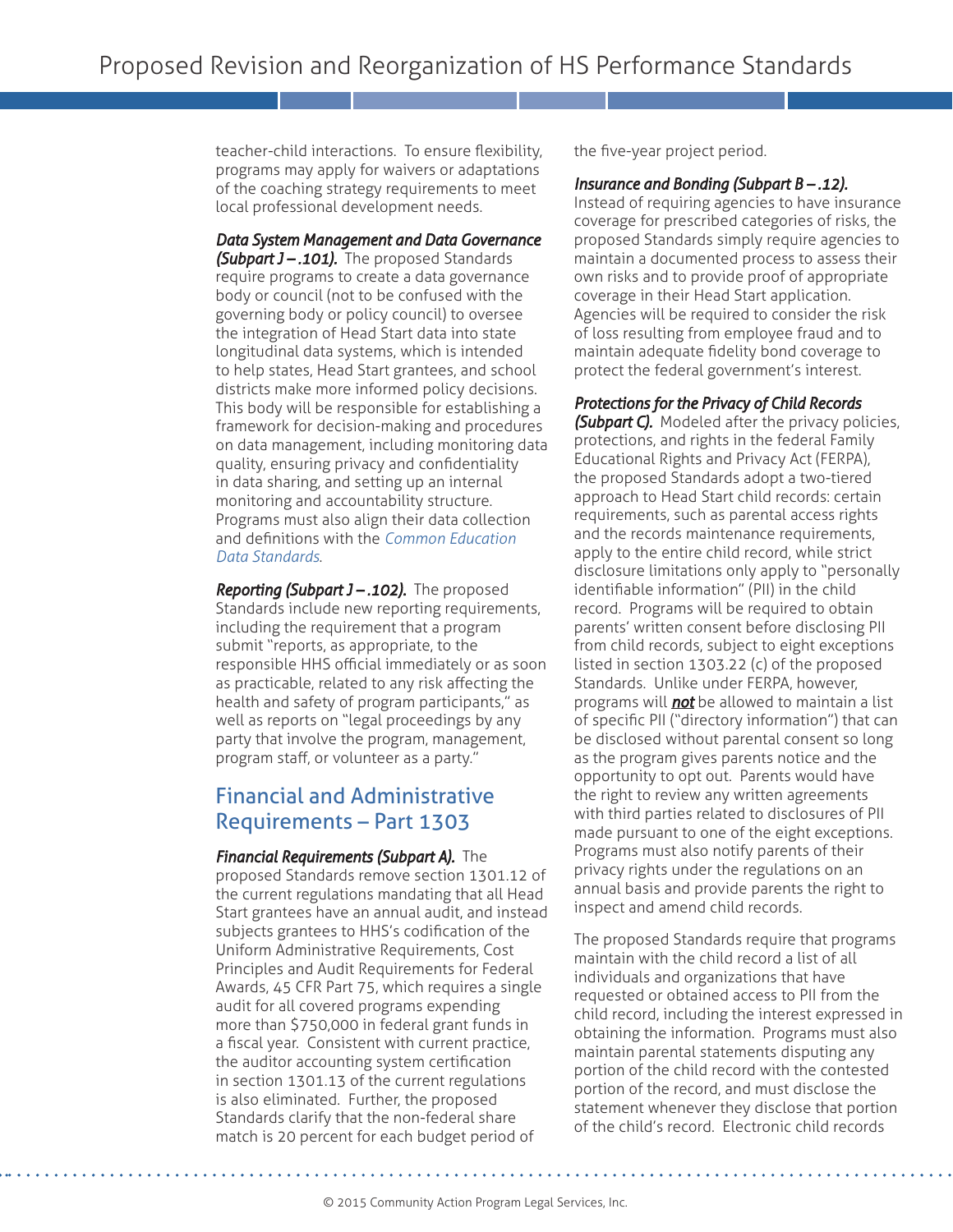teacher-child interactions. To ensure flexibility, programs may apply for waivers or adaptations of the coaching strategy requirements to meet local professional development needs.

*Data System Management and Data Governance (Subpart J – .101).* The proposed Standards require programs to create a data governance body or council (not to be confused with the governing body or policy council) to oversee the integration of Head Start data into state longitudinal data systems, which is intended to help states, Head Start grantees, and school districts make more informed policy decisions. This body will be responsible for establishing a framework for decision-making and procedures on data management, including monitoring data quality, ensuring privacy and confidentiality in data sharing, and setting up an internal monitoring and accountability structure. Programs must also align their data collection and definitions with the *[Common Education](https://ceds.ed.gov/)  [Data Standards](https://ceds.ed.gov/)*.

*Reporting (Subpart J – .102).* The proposed Standards include new reporting requirements, including the requirement that a program submit "reports, as appropriate, to the responsible HHS official immediately or as soon as practicable, related to any risk affecting the health and safety of program participants," as well as reports on "legal proceedings by any party that involve the program, management, program staff, or volunteer as a party."

## Financial and Administrative Requirements – Part 1303

## *Financial Requirements (Subpart A).* The

proposed Standards remove section 1301.12 of the current regulations mandating that all Head Start grantees have an annual audit, and instead subjects grantees to HHS's codification of the Uniform Administrative Requirements, Cost Principles and Audit Requirements for Federal Awards, 45 CFR Part 75, which requires a single audit for all covered programs expending more than \$750,000 in federal grant funds in a fiscal year. Consistent with current practice, the auditor accounting system certification in section 1301.13 of the current regulations is also eliminated. Further, the proposed Standards clarify that the non-federal share match is 20 percent for each budget period of

the five-year project period.

#### *Insurance and Bonding (Subpart B – .12).*

Instead of requiring agencies to have insurance coverage for prescribed categories of risks, the proposed Standards simply require agencies to maintain a documented process to assess their own risks and to provide proof of appropriate coverage in their Head Start application. Agencies will be required to consider the risk of loss resulting from employee fraud and to maintain adequate fidelity bond coverage to protect the federal government's interest.

## *Protections for the Privacy of Child Records*

*(Subpart C).* Modeled after the privacy policies, protections, and rights in the federal Family Educational Rights and Privacy Act (FERPA), the proposed Standards adopt a two-tiered approach to Head Start child records: certain requirements, such as parental access rights and the records maintenance requirements, apply to the entire child record, while strict disclosure limitations only apply to "personally identifiable information" (PII) in the child record. Programs will be required to obtain parents' written consent before disclosing PII from child records, subject to eight exceptions listed in section 1303.22 (c) of the proposed Standards. Unlike under FERPA, however, programs will *not* be allowed to maintain a list of specific PII ("directory information") that can be disclosed without parental consent so long as the program gives parents notice and the opportunity to opt out. Parents would have the right to review any written agreements with third parties related to disclosures of PII made pursuant to one of the eight exceptions. Programs must also notify parents of their privacy rights under the regulations on an annual basis and provide parents the right to inspect and amend child records.

The proposed Standards require that programs maintain with the child record a list of all individuals and organizations that have requested or obtained access to PII from the child record, including the interest expressed in obtaining the information. Programs must also maintain parental statements disputing any portion of the child record with the contested portion of the record, and must disclose the statement whenever they disclose that portion of the child's record. Electronic child records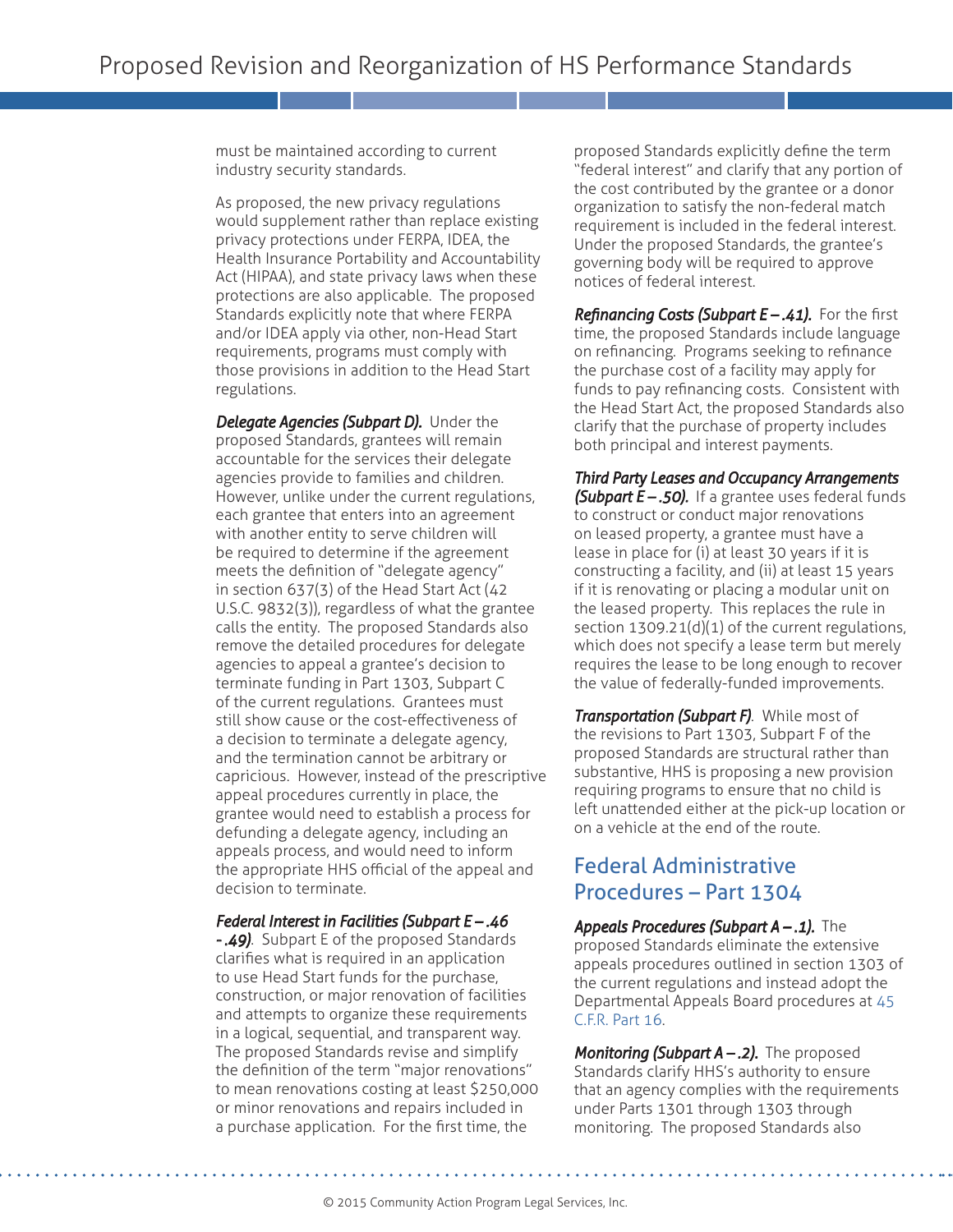must be maintained according to current industry security standards.

As proposed, the new privacy regulations would supplement rather than replace existing privacy protections under FERPA, IDEA, the Health Insurance Portability and Accountability Act (HIPAA), and state privacy laws when these protections are also applicable. The proposed Standards explicitly note that where FERPA and/or IDEA apply via other, non-Head Start requirements, programs must comply with those provisions in addition to the Head Start regulations.

*Delegate Agencies (Subpart D).* Under the proposed Standards, grantees will remain accountable for the services their delegate agencies provide to families and children. However, unlike under the current regulations, each grantee that enters into an agreement with another entity to serve children will be required to determine if the agreement meets the definition of "delegate agency" in section 637(3) of the Head Start Act (42 U.S.C. 9832(3)), regardless of what the grantee calls the entity. The proposed Standards also remove the detailed procedures for delegate agencies to appeal a grantee's decision to terminate funding in Part 1303, Subpart C of the current regulations. Grantees must still show cause or the cost-effectiveness of a decision to terminate a delegate agency, and the termination cannot be arbitrary or capricious. However, instead of the prescriptive appeal procedures currently in place, the grantee would need to establish a process for defunding a delegate agency, including an appeals process, and would need to inform the appropriate HHS official of the appeal and decision to terminate.

#### *Federal Interest in Facilities (Subpart E – .46*

*- .49)*. Subpart E of the proposed Standards clarifies what is required in an application to use Head Start funds for the purchase, construction, or major renovation of facilities and attempts to organize these requirements in a logical, sequential, and transparent way. The proposed Standards revise and simplify the definition of the term "major renovations" to mean renovations costing at least \$250,000 or minor renovations and repairs included in a purchase application. For the first time, the

proposed Standards explicitly define the term "federal interest" and clarify that any portion of the cost contributed by the grantee or a donor organization to satisfy the non-federal match requirement is included in the federal interest. Under the proposed Standards, the grantee's governing body will be required to approve notices of federal interest.

*Refinancing Costs (Subpart E – .41).* For the first time, the proposed Standards include language on refinancing. Programs seeking to refinance the purchase cost of a facility may apply for funds to pay refinancing costs. Consistent with the Head Start Act, the proposed Standards also clarify that the purchase of property includes both principal and interest payments.

*Third Party Leases and Occupancy Arrangements (Subpart E – .50).* If a grantee uses federal funds to construct or conduct major renovations on leased property, a grantee must have a lease in place for (i) at least 30 years if it is constructing a facility, and (ii) at least 15 years if it is renovating or placing a modular unit on the leased property. This replaces the rule in section 1309.21(d)(1) of the current regulations, which does not specify a lease term but merely requires the lease to be long enough to recover the value of federally-funded improvements.

*Transportation (Subpart F)*. While most of the revisions to Part 1303, Subpart F of the proposed Standards are structural rather than substantive, HHS is proposing a new provision requiring programs to ensure that no child is left unattended either at the pick-up location or on a vehicle at the end of the route.

## Federal Administrative Procedures – Part 1304

*Appeals Procedures (Subpart A – .1).* The proposed Standards eliminate the extensive appeals procedures outlined in section 1303 of the current regulations and instead adopt the Departmental Appeals Board procedures at [45](http://www.gpo.gov/fdsys/pkg/CFR-2004-title45-vol1/xml/CFR-2004-title45-vol1-part16.xml)  [C.F.R. Part 16.](http://www.gpo.gov/fdsys/pkg/CFR-2004-title45-vol1/xml/CFR-2004-title45-vol1-part16.xml) 

*Monitoring (Subpart A – .2).* The proposed Standards clarify HHS's authority to ensure that an agency complies with the requirements under Parts 1301 through 1303 through monitoring. The proposed Standards also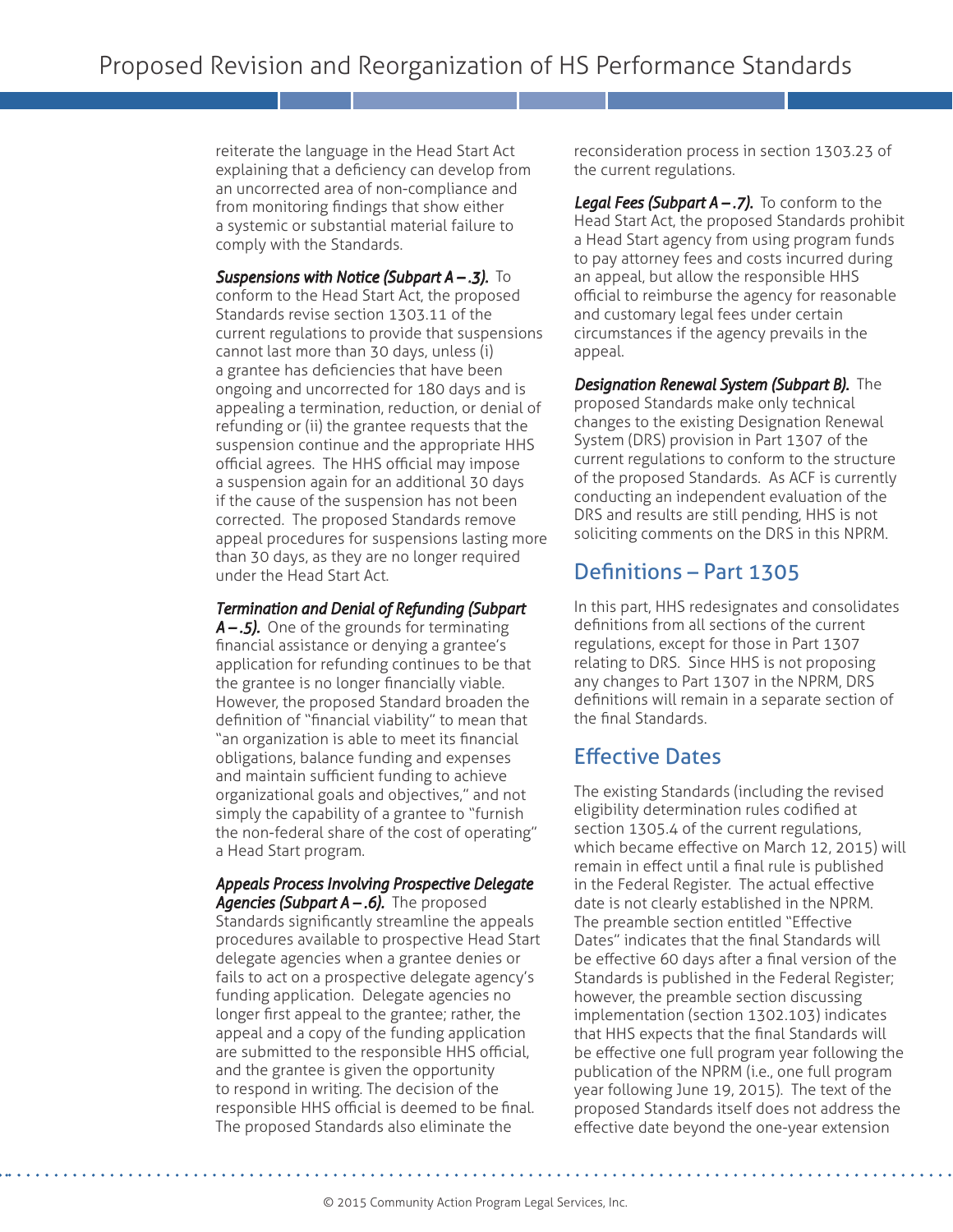reiterate the language in the Head Start Act explaining that a deficiency can develop from an uncorrected area of non-compliance and from monitoring findings that show either a systemic or substantial material failure to comply with the Standards.

**Suspensions with Notice (Subpart A – .3).** To conform to the Head Start Act, the proposed Standards revise section 1303.11 of the current regulations to provide that suspensions cannot last more than 30 days, unless (i) a grantee has deficiencies that have been ongoing and uncorrected for 180 days and is appealing a termination, reduction, or denial of refunding or (ii) the grantee requests that the suspension continue and the appropriate HHS official agrees. The HHS official may impose a suspension again for an additional 30 days if the cause of the suspension has not been corrected. The proposed Standards remove appeal procedures for suspensions lasting more than 30 days, as they are no longer required under the Head Start Act.

## *Termination and Denial of Refunding (Subpart*

*A – .5).* One of the grounds for terminating financial assistance or denying a grantee's application for refunding continues to be that the grantee is no longer financially viable. However, the proposed Standard broaden the definition of "financial viability" to mean that "an organization is able to meet its financial obligations, balance funding and expenses and maintain sufficient funding to achieve organizational goals and objectives," and not simply the capability of a grantee to "furnish the non-federal share of the cost of operating" a Head Start program.

*Appeals Process Involving Prospective Delegate*  Agencies (Subpart A -.6). The proposed Standards significantly streamline the appeals procedures available to prospective Head Start delegate agencies when a grantee denies or fails to act on a prospective delegate agency's funding application. Delegate agencies no longer first appeal to the grantee; rather, the appeal and a copy of the funding application are submitted to the responsible HHS official, and the grantee is given the opportunity to respond in writing. The decision of the responsible HHS official is deemed to be final. The proposed Standards also eliminate the

reconsideration process in section 1303.23 of the current regulations.

**Legal Fees (Subpart A –.7).** To conform to the Head Start Act, the proposed Standards prohibit a Head Start agency from using program funds to pay attorney fees and costs incurred during an appeal, but allow the responsible HHS official to reimburse the agency for reasonable and customary legal fees under certain circumstances if the agency prevails in the appeal.

*Designation Renewal System (Subpart B).* The proposed Standards make only technical changes to the existing Designation Renewal System (DRS) provision in Part 1307 of the current regulations to conform to the structure of the proposed Standards. As ACF is currently conducting an independent evaluation of the DRS and results are still pending, HHS is not soliciting comments on the DRS in this NPRM.

## Definitions – Part 1305

In this part, HHS redesignates and consolidates definitions from all sections of the current regulations, except for those in Part 1307 relating to DRS. Since HHS is not proposing any changes to Part 1307 in the NPRM, DRS definitions will remain in a separate section of the final Standards.

# Effective Dates

The existing Standards (including the revised eligibility determination rules codified at section 1305.4 of the current regulations, which became effective on March 12, 2015) will remain in effect until a final rule is published in the Federal Register. The actual effective date is not clearly established in the NPRM. The preamble section entitled "Effective Dates" indicates that the final Standards will be effective 60 days after a final version of the Standards is published in the Federal Register; however, the preamble section discussing implementation (section 1302.103) indicates that HHS expects that the final Standards will be effective one full program year following the publication of the NPRM (i.e., one full program year following June 19, 2015). The text of the proposed Standards itself does not address the effective date beyond the one-year extension